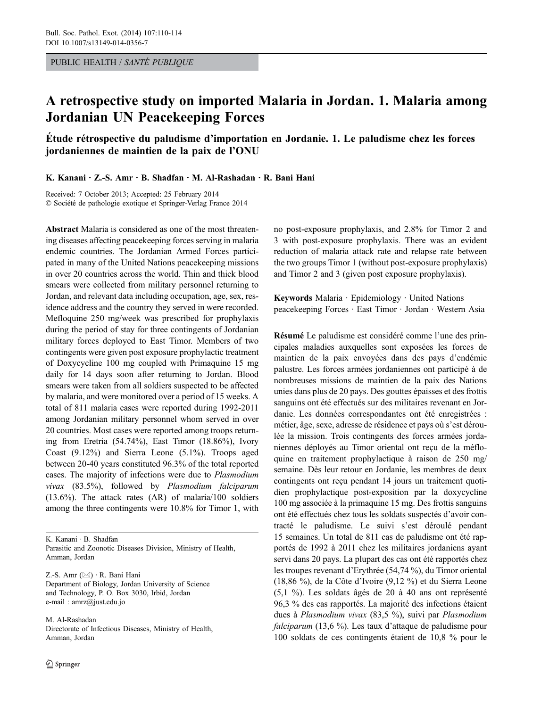PUBLIC HEALTH / SANTÉ PUBLIQUE

# A retrospective study on imported Malaria in Jordan. 1. Malaria among Jordanian UN Peacekeeping Forces

Étude rétrospective du paludisme d'importation en Jordanie. 1. Le paludisme chez les forces jordaniennes de maintien de la paix de l'ONU

K. Kanani · Z.-S. Amr · B. Shadfan · M. Al-Rashadan · R. Bani Hani

Received: 7 October 2013; Accepted: 25 February 2014 © Société de pathologie exotique et Springer-Verlag France 2014

Abstract Malaria is considered as one of the most threatening diseases affecting peacekeeping forces serving in malaria endemic countries. The Jordanian Armed Forces participated in many of the United Nations peacekeeping missions in over 20 countries across the world. Thin and thick blood smears were collected from military personnel returning to Jordan, and relevant data including occupation, age, sex, residence address and the country they served in were recorded. Mefloquine 250 mg/week was prescribed for prophylaxis during the period of stay for three contingents of Jordanian military forces deployed to East Timor. Members of two contingents were given post exposure prophylactic treatment of Doxycycline 100 mg coupled with Primaquine 15 mg daily for 14 days soon after returning to Jordan. Blood smears were taken from all soldiers suspected to be affected by malaria, and were monitored over a period of 15 weeks. A total of 811 malaria cases were reported during 1992-2011 among Jordanian military personnel whom served in over 20 countries. Most cases were reported among troops returning from Eretria (54.74%), East Timor (18.86%), Ivory Coast (9.12%) and Sierra Leone (5.1%). Troops aged between 20-40 years constituted 96.3% of the total reported cases. The majority of infections were due to Plasmodium vivax (83.5%), followed by Plasmodium falciparum (13.6%). The attack rates (AR) of malaria/100 soldiers among the three contingents were 10.8% for Timor 1, with

Z.-S. Amr  $(\boxtimes) \cdot$  R. Bani Hani Department of Biology, Jordan University of Science and Technology, P. O. Box 3030, Irbid, Jordan e-mail : amrz@just.edu.jo

M. Al-Rashadan Directorate of Infectious Diseases, Ministry of Health, Amman, Jordan

no post-exposure prophylaxis, and 2.8% for Timor 2 and 3 with post-exposure prophylaxis. There was an evident reduction of malaria attack rate and relapse rate between the two groups Timor 1 (without post-exposure prophylaxis) and Timor 2 and 3 (given post exposure prophylaxis).

Keywords Malaria · Epidemiology · United Nations peacekeeping Forces · East Timor · Jordan · Western Asia

Résumé Le paludisme est considéré comme l'une des principales maladies auxquelles sont exposées les forces de maintien de la paix envoyées dans des pays d'endémie palustre. Les forces armées jordaniennes ont participé à de nombreuses missions de maintien de la paix des Nations unies dans plus de 20 pays. Des gouttes épaisses et des frottis sanguins ont été effectués sur des militaires revenant en Jordanie. Les données correspondantes ont été enregistrées : métier, âge, sexe, adresse de résidence et pays où s'est déroulée la mission. Trois contingents des forces armées jordaniennes déployés au Timor oriental ont reçu de la méfloquine en traitement prophylactique à raison de 250 mg/ semaine. Dès leur retour en Jordanie, les membres de deux contingents ont reçu pendant 14 jours un traitement quotidien prophylactique post-exposition par la doxycycline 100 mg associée à la primaquine 15 mg. Des frottis sanguins ont été effectués chez tous les soldats suspectés d'avoir contracté le paludisme. Le suivi s'est déroulé pendant 15 semaines. Un total de 811 cas de paludisme ont été rapportés de 1992 à 2011 chez les militaires jordaniens ayant servi dans 20 pays. La plupart des cas ont été rapportés chez les troupes revenant d'Erythrée (54,74 %), du Timor oriental (18,86 %), de la Côte d'Ivoire (9,12 %) et du Sierra Leone (5,1 %). Les soldats âgés de 20 à 40 ans ont représenté 96,3 % des cas rapportés. La majorité des infections étaient dues à Plasmodium vivax (83,5 %), suivi par Plasmodium falciparum (13,6 %). Les taux d'attaque de paludisme pour 100 soldats de ces contingents étaient de 10,8 % pour le

K. Kanani · B. Shadfan Parasitic and Zoonotic Diseases Division, Ministry of Health, Amman, Jordan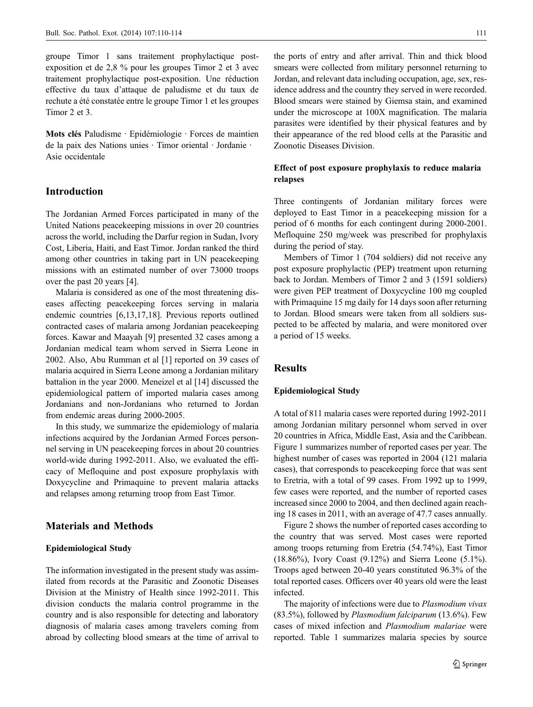groupe Timor 1 sans traitement prophylactique postexposition et de 2,8 % pour les groupes Timor 2 et 3 avec traitement prophylactique post-exposition. Une réduction effective du taux d'attaque de paludisme et du taux de rechute a été constatée entre le groupe Timor 1 et les groupes Timor 2 et 3.

Mots clés Paludisme · Epidémiologie · Forces de maintien de la paix des Nations unies · Timor oriental · Jordanie · Asie occidentale

## Introduction

The Jordanian Armed Forces participated in many of the United Nations peacekeeping missions in over 20 countries across the world, including the Darfur region in Sudan, Ivory Cost, Liberia, Haiti, and East Timor. Jordan ranked the third among other countries in taking part in UN peacekeeping missions with an estimated number of over 73000 troops over the past 20 years [4].

Malaria is considered as one of the most threatening diseases affecting peacekeeping forces serving in malaria endemic countries [6,13,17,18]. Previous reports outlined contracted cases of malaria among Jordanian peacekeeping forces. Kawar and Maayah [9] presented 32 cases among a Jordanian medical team whom served in Sierra Leone in 2002. Also, Abu Rumman et al [1] reported on 39 cases of malaria acquired in Sierra Leone among a Jordanian military battalion in the year 2000. Meneizel et al [14] discussed the epidemiological pattern of imported malaria cases among Jordanians and non-Jordanians who returned to Jordan from endemic areas during 2000-2005.

In this study, we summarize the epidemiology of malaria infections acquired by the Jordanian Armed Forces personnel serving in UN peacekeeping forces in about 20 countries world-wide during 1992-2011. Also, we evaluated the efficacy of Mefloquine and post exposure prophylaxis with Doxycycline and Primaquine to prevent malaria attacks and relapses among returning troop from East Timor.

# Materials and Methods

#### Epidemiological Study

The information investigated in the present study was assimilated from records at the Parasitic and Zoonotic Diseases Division at the Ministry of Health since 1992-2011. This division conducts the malaria control programme in the country and is also responsible for detecting and laboratory diagnosis of malaria cases among travelers coming from abroad by collecting blood smears at the time of arrival to

the ports of entry and after arrival. Thin and thick blood smears were collected from military personnel returning to Jordan, and relevant data including occupation, age, sex, residence address and the country they served in were recorded. Blood smears were stained by Giemsa stain, and examined under the microscope at 100X magnification. The malaria parasites were identified by their physical features and by their appearance of the red blood cells at the Parasitic and Zoonotic Diseases Division.

## Effect of post exposure prophylaxis to reduce malaria relapses

Three contingents of Jordanian military forces were deployed to East Timor in a peacekeeping mission for a period of 6 months for each contingent during 2000-2001. Mefloquine 250 mg/week was prescribed for prophylaxis during the period of stay.

Members of Timor 1 (704 soldiers) did not receive any post exposure prophylactic (PEP) treatment upon returning back to Jordan. Members of Timor 2 and 3 (1591 soldiers) were given PEP treatment of Doxycycline 100 mg coupled with Primaquine 15 mg daily for 14 days soon after returning to Jordan. Blood smears were taken from all soldiers suspected to be affected by malaria, and were monitored over a period of 15 weeks.

### Results

#### Epidemiological Study

A total of 811 malaria cases were reported during 1992-2011 among Jordanian military personnel whom served in over 20 countries in Africa, Middle East, Asia and the Caribbean. Figure 1 summarizes number of reported cases per year. The highest number of cases was reported in 2004 (121 malaria cases), that corresponds to peacekeeping force that was sent to Eretria, with a total of 99 cases. From 1992 up to 1999, few cases were reported, and the number of reported cases increased since 2000 to 2004, and then declined again reaching 18 cases in 2011, with an average of 47.7 cases annually.

Figure 2 shows the number of reported cases according to the country that was served. Most cases were reported among troops returning from Eretria (54.74%), East Timor (18.86%), Ivory Coast (9.12%) and Sierra Leone (5.1%). Troops aged between 20-40 years constituted 96.3% of the total reported cases. Officers over 40 years old were the least infected.

The majority of infections were due to *Plasmodium vivax* (83.5%), followed by Plasmodium falciparum (13.6%). Few cases of mixed infection and Plasmodium malariae were reported. Table 1 summarizes malaria species by source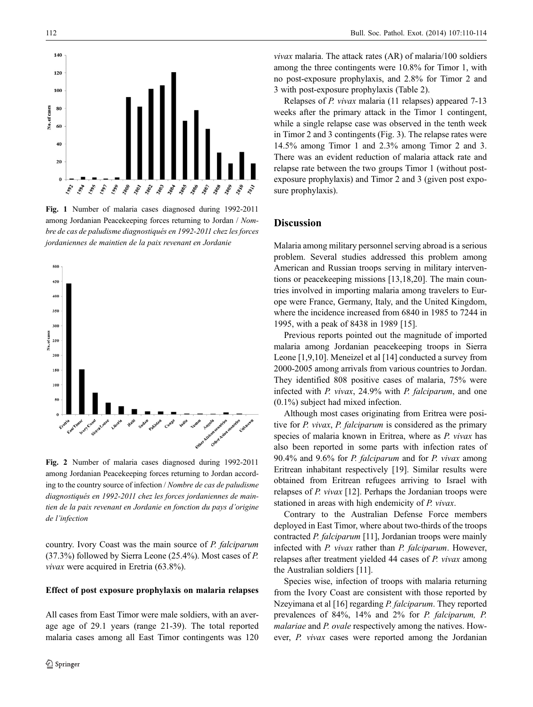

Fig. 1 Number of malaria cases diagnosed during 1992-2011 among Jordanian Peacekeeping forces returning to Jordan / Nombre de cas de paludisme diagnostiqués en 1992-2011 chez les forces jordaniennes de maintien de la paix revenant en Jordanie



Fig. 2 Number of malaria cases diagnosed during 1992-2011 among Jordanian Peacekeeping forces returning to Jordan according to the country source of infection / Nombre de cas de paludisme diagnostiqués en 1992-2011 chez les forces jordaniennes de maintien de la paix revenant en Jordanie en fonction du pays d'origine de l'infection

country. Ivory Coast was the main source of P. falciparum (37.3%) followed by Sierra Leone (25.4%). Most cases of P. vivax were acquired in Eretria (63.8%).

#### Effect of post exposure prophylaxis on malaria relapses

All cases from East Timor were male soldiers, with an average age of 29.1 years (range 21-39). The total reported malaria cases among all East Timor contingents was 120

vivax malaria. The attack rates (AR) of malaria/100 soldiers among the three contingents were 10.8% for Timor 1, with no post-exposure prophylaxis, and 2.8% for Timor 2 and 3 with post-exposure prophylaxis (Table 2).

Relapses of P. vivax malaria (11 relapses) appeared 7-13 weeks after the primary attack in the Timor 1 contingent, while a single relapse case was observed in the tenth week in Timor 2 and 3 contingents (Fig. 3). The relapse rates were 14.5% among Timor 1 and 2.3% among Timor 2 and 3. There was an evident reduction of malaria attack rate and relapse rate between the two groups Timor 1 (without postexposure prophylaxis) and Timor 2 and 3 (given post exposure prophylaxis).

### Discussion

Malaria among military personnel serving abroad is a serious problem. Several studies addressed this problem among American and Russian troops serving in military interventions or peacekeeping missions [13,18,20]. The main countries involved in importing malaria among travelers to Europe were France, Germany, Italy, and the United Kingdom, where the incidence increased from 6840 in 1985 to 7244 in 1995, with a peak of 8438 in 1989 [15].

Previous reports pointed out the magnitude of imported malaria among Jordanian peacekeeping troops in Sierra Leone [1,9,10]. Meneizel et al [14] conducted a survey from 2000-2005 among arrivals from various countries to Jordan. They identified 808 positive cases of malaria, 75% were infected with P. vivax, 24.9% with P. falciparum, and one (0.1%) subject had mixed infection.

Although most cases originating from Eritrea were positive for P. vivax, P. falciparum is considered as the primary species of malaria known in Eritrea, where as P. vivax has also been reported in some parts with infection rates of 90.4% and 9.6% for P. falciparum and for P. vivax among Eritrean inhabitant respectively [19]. Similar results were obtained from Eritrean refugees arriving to Israel with relapses of P. vivax [12]. Perhaps the Jordanian troops were stationed in areas with high endemicity of P. vivax.

Contrary to the Australian Defense Force members deployed in East Timor, where about two-thirds of the troops contracted P. falciparum [11], Jordanian troops were mainly infected with P. vivax rather than P. falciparum. However, relapses after treatment yielded 44 cases of P. vivax among the Australian soldiers [11].

Species wise, infection of troops with malaria returning from the Ivory Coast are consistent with those reported by Nzeyimana et al [16] regarding P. falciparum. They reported prevalences of 84%, 14% and 2% for P. falciparum, P. malariae and P. ovale respectively among the natives. However, P. vivax cases were reported among the Jordanian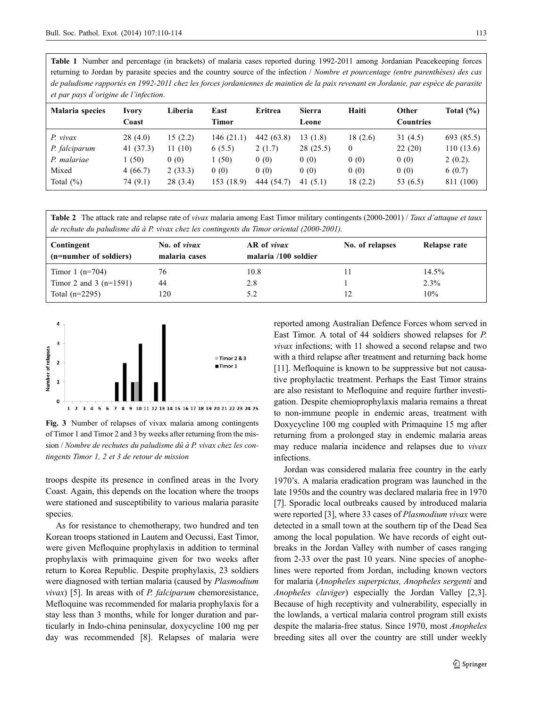Table 1 Number and percentage (in brackets) of malaria cases reported during 1992-2011 among Jordanian Peacekeeping forces returning to Jordan by parasite species and the country source of the infection / Nombre et pourcentage (entre parenthèses) des cas de paludisme rapportés en 1992-2011 chez les forces jordaniennes de maintien de la paix revenant en Jordanie, par espèce de parasite et par pays d'origine de l'infection.

| Malaria species | Ivory<br>Coast | Liberia | East<br>Timor | Eritrea    | <b>Sierra</b><br>Leone | Haiti   | Other<br><b>Countries</b> | Total $(\% )$ |
|-----------------|----------------|---------|---------------|------------|------------------------|---------|---------------------------|---------------|
| P. vivax        | 28(4.0)        | 15(2.2) | 146(21.1)     | 442 (63.8) | 13 (1.8)               | 18(2.6) | 31(4.5)                   | 693 (85.5)    |
| P. falciparum   | 41 (37.3)      | 11(10)  | 6(5.5)        | 2(1.7)     | 28(25.5)               | 0       | 22(20)                    | 110(13.6)     |
| P. malariae     | (50)           | 0(0)    | (50)          | 0(0)       | 0(0)                   | 0(0)    | 0(0)                      | $2(0.2)$ .    |
| Mixed           | 4(66.7)        | 2(33.3) | 0(0)          | 0(0)       | 0(0)                   | 0(0)    | 0(0)                      | 6(0.7)        |
| Total $(\%)$    | 74 (9.1)       | 28(3.4) | 153 (18.9)    | 444 (54.7) | 41 $(5.1)$             | 18(2.2) | 53 (6.5)                  | 811 (100)     |

Table 2 The attack rate and relapse rate of *vivax* malaria among East Timor military contingents (2000-2001) / Taux d'attaque et taux de rechute du paludisme dû à P. vivax chez les contingents du Timor oriental (2000-2001).

| Contingent<br>(n=number of soldiers) | No. of vivax<br>malaria cases | AR of vivax<br>malaria /100 soldier | No. of relapses | Relapse rate |
|--------------------------------------|-------------------------------|-------------------------------------|-----------------|--------------|
| Timor 1 $(n=704)$                    | 76                            | 10.8                                |                 | 14.5%        |
| Timor 2 and 3 $(n=1591)$             | 44                            | 2.8                                 |                 | $2.3\%$      |
| Total $(n=2295)$                     | 120                           | 5.2                                 |                 | 10%          |



Fig. 3 Number of relapses of vivax malaria among contingents of Timor 1 and Timor 2 and 3 by weeks after returning from the mission / Nombre de rechutes du paludisme dû à P. vivax chez les contingents Timor 1, 2 et 3 de retour de mission

troops despite its presence in confined areas in the Ivory Coast. Again, this depends on the location where the troops were stationed and susceptibility to various malaria parasite species.

As for resistance to chemotherapy, two hundred and ten Korean troops stationed in Lautem and Oecussi, East Timor, were given Mefloquine prophylaxis in addition to terminal prophylaxis with primaquine given for two weeks after return to Korea Republic. Despite prophylaxis, 23 soldiers were diagnosed with tertian malaria (caused by Plasmodium *vivax*) [5]. In areas with of *P. falciparum* chemoresistance, Mefloquine was recommended for malaria prophylaxis for a stay less than 3 months, while for longer duration and particularly in Indo-china peninsular, doxycycline 100 mg per day was recommended [8]. Relapses of malaria were reported among Australian Defence Forces whom served in East Timor. A total of 44 soldiers showed relapses for P. vivax infections; with 11 showed a second relapse and two with a third relapse after treatment and returning back home [11]. Mefloquine is known to be suppressive but not causative prophylactic treatment. Perhaps the East Timor strains are also resistant to Mefloquine and require further investigation. Despite chemioprophylaxis malaria remains a threat to non-immune people in endemic areas, treatment with Doxycycline 100 mg coupled with Primaquine 15 mg after returning from a prolonged stay in endemic malaria areas may reduce malaria incidence and relapses due to vivax infections.

Jordan was considered malaria free country in the early 1970's. A malaria eradication program was launched in the late 1950s and the country was declared malaria free in 1970 [7]. Sporadic local outbreaks caused by introduced malaria were reported [3], where 33 cases of Plasmodium vivax were detected in a small town at the southern tip of the Dead Sea among the local population. We have records of eight outbreaks in the Jordan Valley with number of cases ranging from 2-33 over the past 10 years. Nine species of anophelines were reported from Jordan, including known vectors for malaria (Anopheles superpictus, Anopheles sergenti and Anopheles claviger) especially the Jordan Valley [2,3]. Because of high receptivity and vulnerability, especially in the lowlands, a vertical malaria control program still exists despite the malaria-free status. Since 1970, most Anopheles breeding sites all over the country are still under weekly